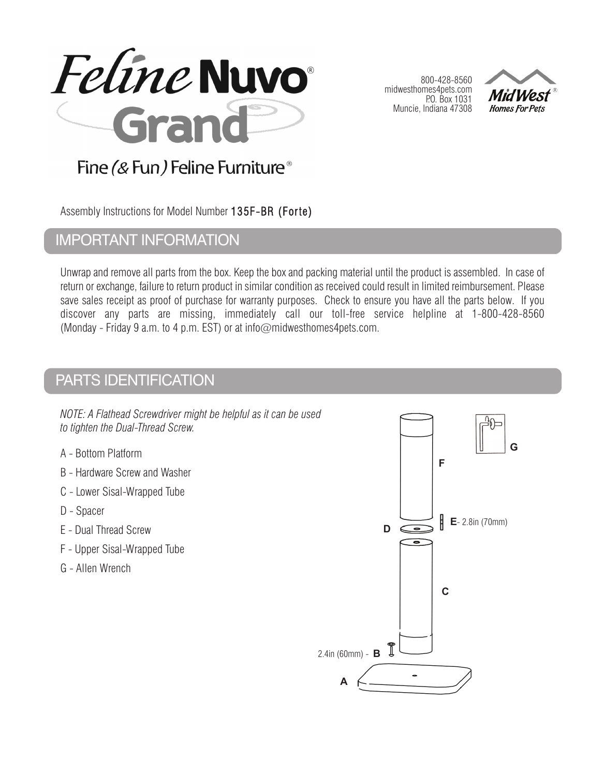

800-428-8560 midwesthomes4pets.com P.O. Box 1031 Muncie, Indiana 47308



## Fine (& Fun) Feline Furniture<sup>®</sup>

Assembly Instructions for Model Number 135F-BR (Forte)

## IMPORTANT INFORMATION

Unwrap and remove all parts from the box. Keep the box and packing material until the product is assembled. In case of return or exchange, failure to return product in similar condition as received could result in limited reimbursement. Please save sales receipt as proof of purchase for warranty purposes. Check to ensure you have all the parts below. If you discover any parts are missing, immediately call our toll-free service helpline at 1-800-428-8560 (Monday - Friday 9 a.m. to 4 p.m. EST) or at info@midwesthomes4pets.com.

## PARTS IDENTIFICATION

*NOTE: A Flathead Screwdriver might be helpful as it can be used to tighten the Dual-Thread Screw.*

- A Bottom Platform
- B Hardware Screw and Washer
- C Lower Sisal-Wrapped Tube
- D Spacer
- E Dual Thread Screw
- F Upper Sisal-Wrapped Tube
- G Allen Wrench

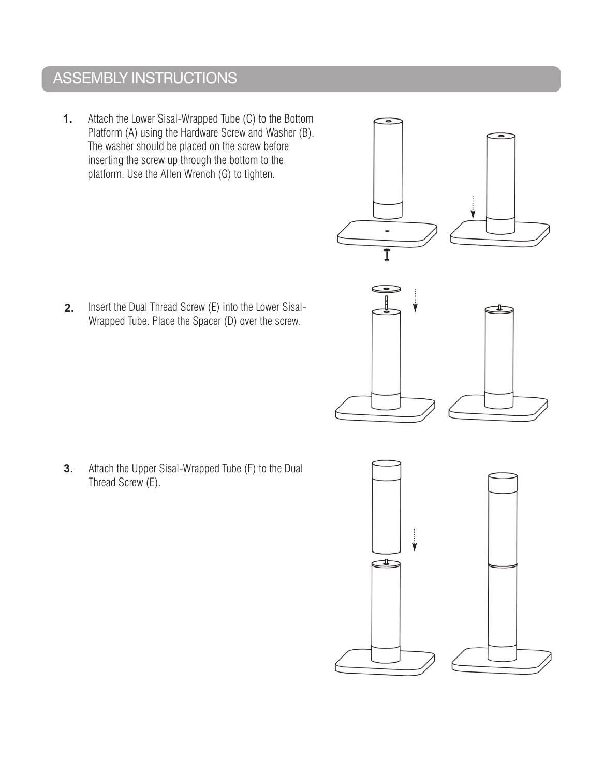# ASSEMBLY INSTRUCTIONS

**1.** Attach the Lower Sisal-Wrapped Tube (C) to the Bottom Platform (A) using the Hardware Screw and Washer (B). The washer should be placed on the screw before inserting the screw up through the bottom to the platform. Use the Allen Wrench (G) to tighten.

**2.** Insert the Dual Thread Screw (E) into the Lower Sisal-Wrapped Tube. Place the Spacer (D) over the screw.

**3.** Attach the Upper Sisal-Wrapped Tube (F) to the Dual Thread Screw (E).